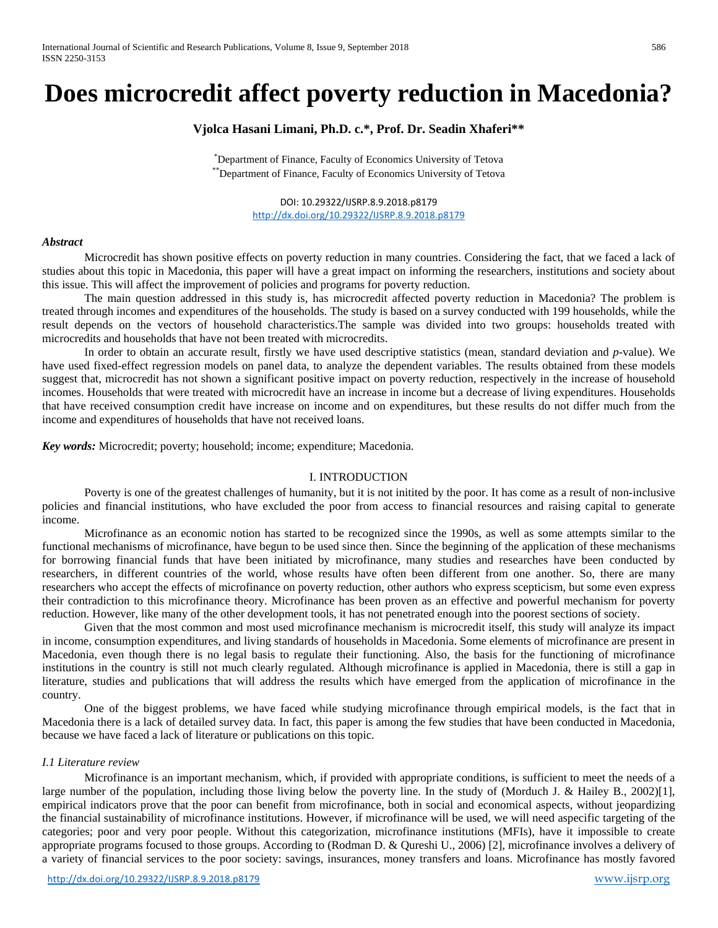# **Does microcredit affect poverty reduction in Macedonia?**

# **Vjolca Hasani Limani, Ph.D. c.\*, Prof. Dr. Seadin Xhaferi\*\***

\* Department of Finance, Faculty of Economics University of Tetova \*\* Department of Finance, Faculty of Economics University of Tetova

> DOI: 10.29322/IJSRP.8.9.2018.p8179 <http://dx.doi.org/10.29322/IJSRP.8.9.2018.p8179>

#### *Abstract*

Microcredit has shown positive effects on poverty reduction in many countries. Considering the fact, that we faced a lack of studies about this topic in Macedonia, this paper will have a great impact on informing the researchers, institutions and society about this issue. This will affect the improvement of policies and programs for poverty reduction.

The main question addressed in this study is, has microcredit affected poverty reduction in Macedonia? The problem is treated through incomes and expenditures of the households. The study is based on a survey conducted with 199 households, while the result depends on the vectors of household characteristics.The sample was divided into two groups: households treated with microcredits and households that have not been treated with microcredits.

In order to obtain an accurate result, firstly we have used descriptive statistics (mean, standard deviation and *p-*value). We have used fixed-effect regression models on panel data, to analyze the dependent variables. The results obtained from these models suggest that, microcredit has not shown a significant positive impact on poverty reduction, respectively in the increase of household incomes. Households that were treated with microcredit have an increase in income but a decrease of living expenditures. Households that have received consumption credit have increase on income and on expenditures, but these results do not differ much from the income and expenditures of households that have not received loans.

*Key words:* Microcredit; poverty; household; income; expenditure; Macedonia.

# I. INTRODUCTION

Poverty is one of the greatest challenges of humanity, but it is not initited by the poor. It has come as a result of non-inclusive policies and financial institutions, who have excluded the poor from access to financial resources and raising capital to generate income.

Microfinance as an economic notion has started to be recognized since the 1990s, as well as some attempts similar to the functional mechanisms of microfinance, have begun to be used since then. Since the beginning of the application of these mechanisms for borrowing financial funds that have been initiated by microfinance, many studies and researches have been conducted by researchers, in different countries of the world, whose results have often been different from one another. So, there are many researchers who accept the effects of microfinance on poverty reduction, other authors who express scepticism, but some even express their contradiction to this microfinance theory. Microfinance has been proven as an effective and powerful mechanism for poverty reduction. However, like many of the other development tools, it has not penetrated enough into the poorest sections of society.

Given that the most common and most used microfinance mechanism is microcredit itself, this study will analyze its impact in income, consumption expenditures, and living standards of households in Macedonia. Some elements of microfinance are present in Macedonia, even though there is no legal basis to regulate their functioning. Also, the basis for the functioning of microfinance institutions in the country is still not much clearly regulated. Although microfinance is applied in Macedonia, there is still a gap in literature, studies and publications that will address the results which have emerged from the application of microfinance in the country.

One of the biggest problems, we have faced while studying microfinance through empirical models, is the fact that in Macedonia there is a lack of detailed survey data. In fact, this paper is among the few studies that have been conducted in Macedonia, because we have faced a lack of literature or publications on this topic.

## *I.1 Literature review*

Microfinance is an important mechanism, which, if provided with appropriate conditions, is sufficient to meet the needs of a large number of the population, including those living below the poverty line. In the study of (Morduch J. & Hailey B., 2002)[1], empirical indicators prove that the poor can benefit from microfinance, both in social and economical aspects, without jeopardizing the financial sustainability of microfinance institutions. However, if microfinance will be used, we will need aspecific targeting of the categories; poor and very poor people. Without this categorization, microfinance institutions (MFIs), have it impossible to create appropriate programs focused to those groups. According to (Rodman D. & Qureshi U., 2006) [2], microfinance involves a delivery of a variety of financial services to the poor society: savings, insurances, money transfers and loans. Microfinance has mostly favored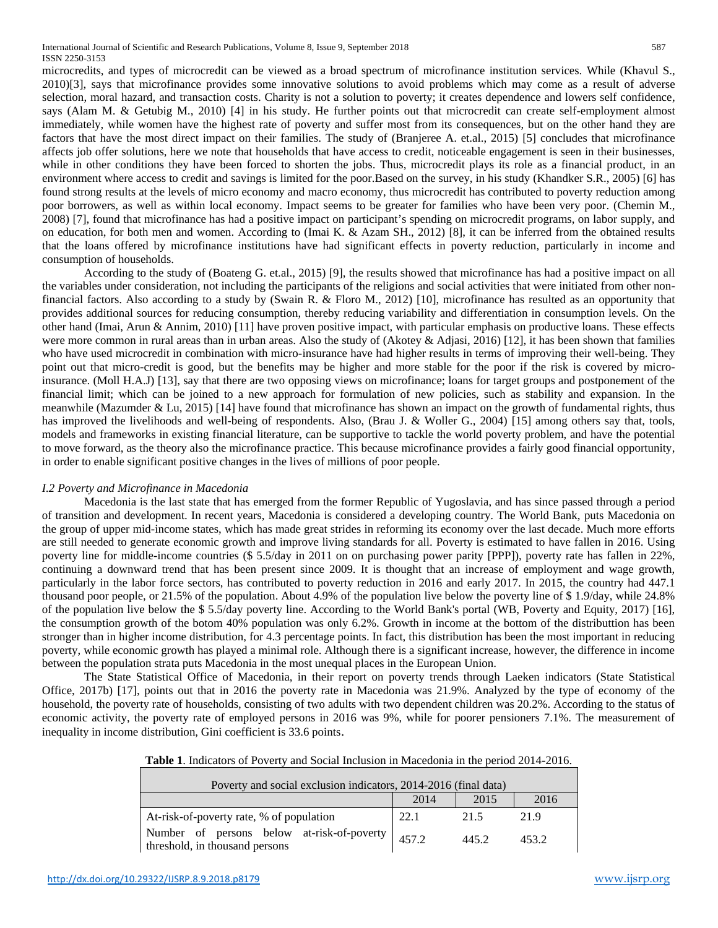International Journal of Scientific and Research Publications, Volume 8, Issue 9, September 2018 587 ISSN 2250-3153

microcredits, and types of microcredit can be viewed as a broad spectrum of microfinance institution services. While (Khavul S., 2010)[3], says that microfinance provides some innovative solutions to avoid problems which may come as a result of adverse selection, moral hazard, and transaction costs. Charity is not a solution to poverty; it creates dependence and lowers self confidence, says (Alam M. & Getubig M., 2010) [4] in his study. He further points out that microcredit can create self-employment almost immediately, while women have the highest rate of poverty and suffer most from its consequences, but on the other hand they are factors that have the most direct impact on their families. The study of (Branjeree A. et.al., 2015) [5] concludes that microfinance affects job offer solutions, here we note that households that have access to credit, noticeable engagement is seen in their businesses, while in other conditions they have been forced to shorten the jobs. Thus, microcredit plays its role as a financial product, in an environment where access to credit and savings is limited for the poor.Based on the survey, in his study (Khandker S.R., 2005) [6] has found strong results at the levels of micro economy and macro economy, thus microcredit has contributed to poverty reduction among poor borrowers, as well as within local economy. Impact seems to be greater for families who have been very poor. (Chemin M., 2008) [7], found that microfinance has had a positive impact on participant's spending on microcredit programs, on labor supply, and on education, for both men and women. According to (Imai K. & Azam SH., 2012) [8], it can be inferred from the obtained results that the loans offered by microfinance institutions have had significant effects in poverty reduction, particularly in income and consumption of households.

According to the study of (Boateng G. et.al., 2015) [9], the results showed that microfinance has had a positive impact on all the variables under consideration, not including the participants of the religions and social activities that were initiated from other nonfinancial factors. Also according to a study by (Swain R. & Floro M., 2012) [10], microfinance has resulted as an opportunity that provides additional sources for reducing consumption, thereby reducing variability and differentiation in consumption levels. On the other hand (Imai, Arun & Annim, 2010) [11] have proven positive impact, with particular emphasis on productive loans. These effects were more common in rural areas than in urban areas. Also the study of (Akotey & Adjasi, 2016) [12], it has been shown that families who have used microcredit in combination with micro-insurance have had higher results in terms of improving their well-being. They point out that micro-credit is good, but the benefits may be higher and more stable for the poor if the risk is covered by microinsurance. (Moll H.A.J) [13], say that there are two opposing views on microfinance; loans for target groups and postponement of the financial limit; which can be joined to a new approach for formulation of new policies, such as stability and expansion. In the meanwhile (Mazumder & Lu, 2015) [14] have found that microfinance has shown an impact on the growth of fundamental rights, thus has improved the livelihoods and well-being of respondents. Also, (Brau J. & Woller G., 2004) [15] among others say that, tools, models and frameworks in existing financial literature, can be supportive to tackle the world poverty problem, and have the potential to move forward, as the theory also the microfinance practice. This because microfinance provides a fairly good financial opportunity, in order to enable significant positive changes in the lives of millions of poor people.

#### *I.2 Poverty and Microfinance in Macedonia*

Macedonia is the last state that has emerged from the former Republic of Yugoslavia, and has since passed through a period of transition and development. In recent years, Macedonia is considered a developing country. The World Bank, puts Macedonia on the group of upper mid-income states, which has made great strides in reforming its economy over the last decade. Much more efforts are still needed to generate economic growth and improve living standards for all. Poverty is estimated to have fallen in 2016. Using poverty line for middle-income countries (\$ 5.5/day in 2011 on on purchasing power parity [PPP]), poverty rate has fallen in 22%, continuing a downward trend that has been present since 2009. It is thought that an increase of employment and wage growth, particularly in the labor force sectors, has contributed to poverty reduction in 2016 and early 2017. In 2015, the country had 447.1 thousand poor people, or 21.5% of the population. About 4.9% of the population live below the poverty line of \$ 1.9/day, while 24.8% of the population live below the \$ 5.5/day poverty line. According to the World Bank's portal (WB, Poverty and Equity, 2017) [16], the consumption growth of the botom 40% population was only 6.2%. Growth in income at the bottom of the distributtion has been stronger than in higher income distribution, for 4.3 percentage points. In fact, this distribution has been the most important in reducing poverty, while economic growth has played a minimal role. Although there is a significant increase, however, the difference in income between the population strata puts Macedonia in the most unequal places in the European Union.

The State Statistical Office of Macedonia, in their report on poverty trends through Laeken indicators (State Statistical Office, 2017b) [17], points out that in 2016 the poverty rate in Macedonia was 21.9%. Analyzed by the type of economy of the household, the poverty rate of households, consisting of two adults with two dependent children was 20.2%. According to the status of economic activity, the poverty rate of employed persons in 2016 was 9%, while for poorer pensioners 7.1%. The measurement of inequality in income distribution, Gini coefficient is 33.6 points.

|  | <b>Table 1.</b> Indicators of Poverty and Social Inclusion in Macedonia in the period 2014-2016. |  |  |  |  |
|--|--------------------------------------------------------------------------------------------------|--|--|--|--|
|--|--------------------------------------------------------------------------------------------------|--|--|--|--|

| Poverty and social exclusion indicators, 2014-2016 (final data)              |       |       |       |  |  |  |  |  |  |
|------------------------------------------------------------------------------|-------|-------|-------|--|--|--|--|--|--|
|                                                                              | 2014  | 2015  | 2016  |  |  |  |  |  |  |
| At-risk-of-poverty rate, % of population                                     | 22.1  | 21.5  | 21.9  |  |  |  |  |  |  |
| Number of persons below at-risk-of-poverty<br>threshold, in thousand persons | 457.2 | 445.2 | 453.2 |  |  |  |  |  |  |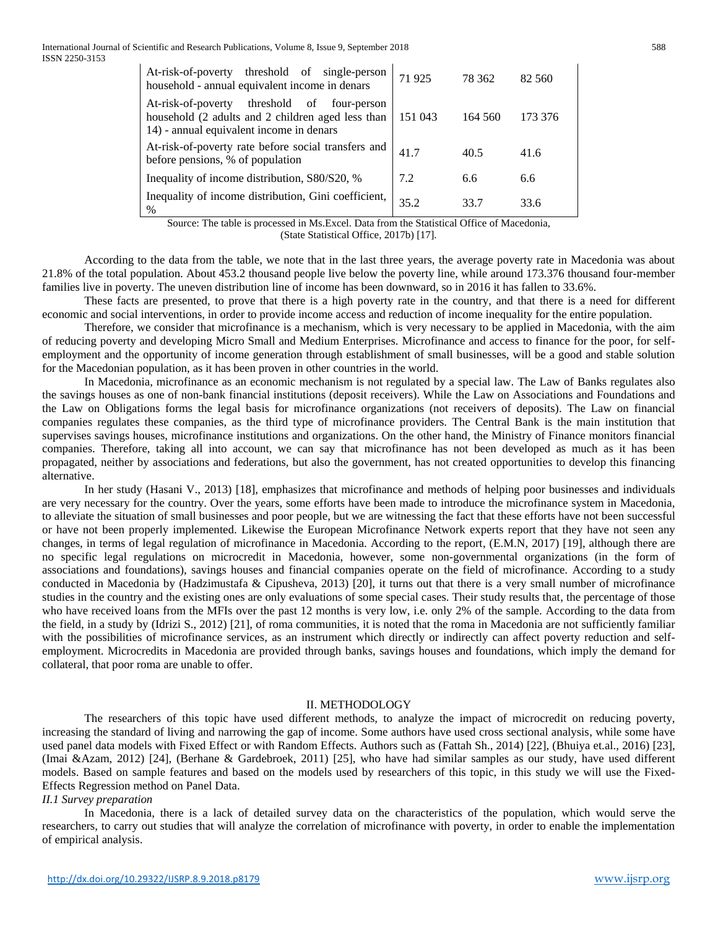International Journal of Scientific and Research Publications, Volume 8, Issue 9, September 2018 588 ISSN 2250-3153

| At-risk-of-poverty threshold of single-person<br>household - annual equivalent income in denars                                                    | 71925   | 78 362  | 82 560  |
|----------------------------------------------------------------------------------------------------------------------------------------------------|---------|---------|---------|
| threshold of<br>At-risk-of-poverty<br>four-person<br>household (2 adults and 2 children aged less than<br>14) - annual equivalent income in denars | 151 043 | 164 560 | 173 376 |
| At-risk-of-poverty rate before social transfers and<br>before pensions, % of population                                                            | 41.7    | 40.5    | 41.6    |
| Inequality of income distribution, S80/S20, %                                                                                                      | 7.2     | 6.6     | 6.6     |
| Inequality of income distribution, Gini coefficient,<br>$\%$                                                                                       | 35.2    | 33 7    | 33 6    |

Source: The table is processed in Ms.Excel. Data from the Statistical Office of Macedonia, (State Statistical Office, 2017b) [17].

According to the data from the table, we note that in the last three years, the average poverty rate in Macedonia was about 21.8% of the total population. About 453.2 thousand people live below the poverty line, while around 173.376 thousand four-member families live in poverty. The uneven distribution line of income has been downward, so in 2016 it has fallen to 33.6%.

These facts are presented, to prove that there is a high poverty rate in the country, and that there is a need for different economic and social interventions, in order to provide income access and reduction of income inequality for the entire population.

Therefore, we consider that microfinance is a mechanism, which is very necessary to be applied in Macedonia, with the aim of reducing poverty and developing Micro Small and Medium Enterprises. Microfinance and access to finance for the poor, for selfemployment and the opportunity of income generation through establishment of small businesses, will be a good and stable solution for the Macedonian population, as it has been proven in other countries in the world.

In Macedonia, microfinance as an economic mechanism is not regulated by a special law. The Law of Banks regulates also the savings houses as one of non-bank financial institutions (deposit receivers). While the Law on Associations and Foundations and the Law on Obligations forms the legal basis for microfinance organizations (not receivers of deposits). The Law on financial companies regulates these companies, as the third type of microfinance providers. The Central Bank is the main institution that supervises savings houses, microfinance institutions and organizations. On the other hand, the Ministry of Finance monitors financial companies. Therefore, taking all into account, we can say that microfinance has not been developed as much as it has been propagated, neither by associations and federations, but also the government, has not created opportunities to develop this financing alternative.

In her study (Hasani V., 2013) [18], emphasizes that microfinance and methods of helping poor businesses and individuals are very necessary for the country. Over the years, some efforts have been made to introduce the microfinance system in Macedonia, to alleviate the situation of small businesses and poor people, but we are witnessing the fact that these efforts have not been successful or have not been properly implemented. Likewise the European Microfinance Network experts report that they have not seen any changes, in terms of legal regulation of microfinance in Macedonia. According to the report, (E.M.N, 2017) [19], although there are no specific legal regulations on microcredit in Macedonia, however, some non-governmental organizations (in the form of associations and foundations), savings houses and financial companies operate on the field of microfinance. According to a study conducted in Macedonia by (Hadzimustafa & Cipusheva, 2013) [20], it turns out that there is a very small number of microfinance studies in the country and the existing ones are only evaluations of some special cases. Their study results that, the percentage of those who have received loans from the MFIs over the past 12 months is very low, i.e. only 2% of the sample. According to the data from the field, in a study by (Idrizi S., 2012) [21], of roma communities, it is noted that the roma in Macedonia are not sufficiently familiar with the possibilities of microfinance services, as an instrument which directly or indirectly can affect poverty reduction and selfemployment. Microcredits in Macedonia are provided through banks, savings houses and foundations, which imply the demand for collateral, that poor roma are unable to offer.

#### II. METHODOLOGY

The researchers of this topic have used different methods, to analyze the impact of microcredit on reducing poverty, increasing the standard of living and narrowing the gap of income. Some authors have used cross sectional analysis, while some have used panel data models with Fixed Effect or with Random Effects. Authors such as (Fattah Sh., 2014) [22], (Bhuiya et.al., 2016) [23], (Imai &Azam, 2012) [24], (Berhane & Gardebroek, 2011) [25], who have had similar samples as our study, have used different models. Based on sample features and based on the models used by researchers of this topic, in this study we will use the Fixed-Effects Regression method on Panel Data.

# *II.1 Survey preparation*

In Macedonia, there is a lack of detailed survey data on the characteristics of the population, which would serve the researchers, to carry out studies that will analyze the correlation of microfinance with poverty, in order to enable the implementation of empirical analysis.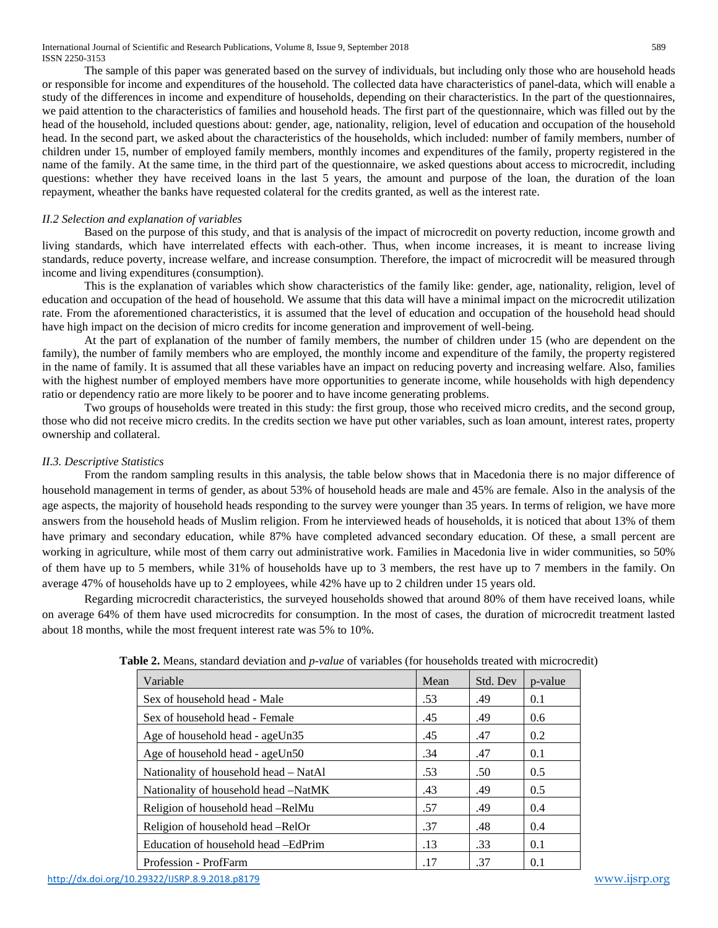International Journal of Scientific and Research Publications, Volume 8, Issue 9, September 2018 589 ISSN 2250-3153

The sample of this paper was generated based on the survey of individuals, but including only those who are household heads or responsible for income and expenditures of the household. The collected data have characteristics of panel-data, which will enable a study of the differences in income and expenditure of households, depending on their characteristics. In the part of the questionnaires, we paid attention to the characteristics of families and household heads. The first part of the questionnaire, which was filled out by the head of the household, included questions about: gender, age, nationality, religion, level of education and occupation of the household head. In the second part, we asked about the characteristics of the households, which included: number of family members, number of children under 15, number of employed family members, monthly incomes and expenditures of the family, property registered in the name of the family. At the same time, in the third part of the questionnaire, we asked questions about access to microcredit, including questions: whether they have received loans in the last 5 years, the amount and purpose of the loan, the duration of the loan repayment, wheather the banks have requested colateral for the credits granted, as well as the interest rate.

## *II.2 Selection and explanation of variables*

Based on the purpose of this study, and that is analysis of the impact of microcredit on poverty reduction, income growth and living standards, which have interrelated effects with each-other. Thus, when income increases, it is meant to increase living standards, reduce poverty, increase welfare, and increase consumption. Therefore, the impact of microcredit will be measured through income and living expenditures (consumption).

This is the explanation of variables which show characteristics of the family like: gender, age, nationality, religion, level of education and occupation of the head of household. We assume that this data will have a minimal impact on the microcredit utilization rate. From the aforementioned characteristics, it is assumed that the level of education and occupation of the household head should have high impact on the decision of micro credits for income generation and improvement of well-being.

At the part of explanation of the number of family members, the number of children under 15 (who are dependent on the family), the number of family members who are employed, the monthly income and expenditure of the family, the property registered in the name of family. It is assumed that all these variables have an impact on reducing poverty and increasing welfare. Also, families with the highest number of employed members have more opportunities to generate income, while households with high dependency ratio or dependency ratio are more likely to be poorer and to have income generating problems.

Two groups of households were treated in this study: the first group, those who received micro credits, and the second group, those who did not receive micro credits. In the credits section we have put other variables, such as loan amount, interest rates, property ownership and collateral.

### *II.3. Descriptive Statistics*

From the random sampling results in this analysis, the table below shows that in Macedonia there is no major difference of household management in terms of gender, as about 53% of household heads are male and 45% are female. Also in the analysis of the age aspects, the majority of household heads responding to the survey were younger than 35 years. In terms of religion, we have more answers from the household heads of Muslim religion. From he interviewed heads of households, it is noticed that about 13% of them have primary and secondary education, while 87% have completed advanced secondary education. Of these, a small percent are working in agriculture, while most of them carry out administrative work. Families in Macedonia live in wider communities, so 50% of them have up to 5 members, while 31% of households have up to 3 members, the rest have up to 7 members in the family. On average 47% of households have up to 2 employees, while 42% have up to 2 children under 15 years old.

Regarding microcredit characteristics, the surveyed households showed that around 80% of them have received loans, while on average 64% of them have used microcredits for consumption. In the most of cases, the duration of microcredit treatment lasted about 18 months, while the most frequent interest rate was 5% to 10%.

| Variable                              | Mean | Std. Dev | p-value |
|---------------------------------------|------|----------|---------|
| Sex of household head - Male          | .53  | .49      | 0.1     |
| Sex of household head - Female        | .45  | .49      | 0.6     |
| Age of household head - ageUn35       | .45  | .47      | 0.2     |
| Age of household head - ageUn50       | .34  | .47      | 0.1     |
| Nationality of household head – NatAl | .53  | .50      | 0.5     |
| Nationality of household head -NatMK  | .43  | .49      | 0.5     |
| Religion of household head -RelMu     | .57  | .49      | 0.4     |
| Religion of household head -RelOr     | .37  | .48      | 0.4     |
| Education of household head – EdPrim  | .13  | .33      | 0.1     |
| Profession - ProfFarm                 | .17  | .37      | 0.1     |

**Table 2.** Means, standard deviation and *p-value* of variables (for households treated with microcredit)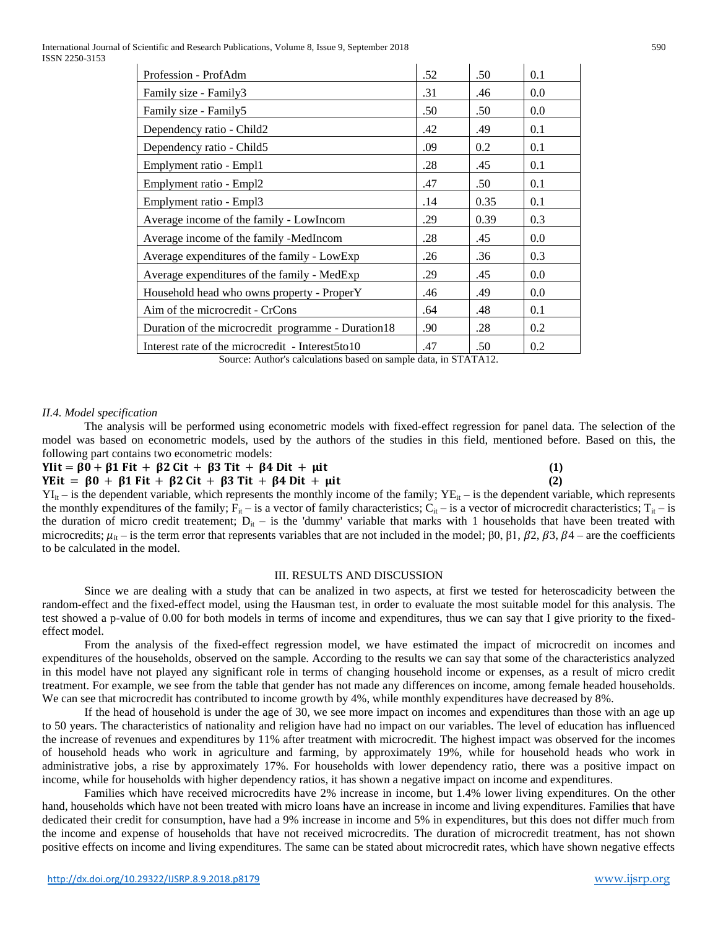International Journal of Scientific and Research Publications, Volume 8, Issue 9, September 2018 590 ISSN 2250-3153

| Profession - ProfAdm                               | .52 | .50  | 0.1 |
|----------------------------------------------------|-----|------|-----|
| Family size - Family3                              | .31 | .46  | 0.0 |
| Family size - Family5                              | .50 | .50  | 0.0 |
| Dependency ratio - Child2                          | .42 | .49  | 0.1 |
| Dependency ratio - Child5                          | .09 | 0.2  | 0.1 |
| Emplyment ratio - Empl1                            | .28 | .45  | 0.1 |
| Emplyment ratio - Empl2                            | .47 | .50  | 0.1 |
| Emplyment ratio - Empl3                            | .14 | 0.35 | 0.1 |
| Average income of the family - LowIncom            | .29 | 0.39 | 0.3 |
| Average income of the family -MedIncom             | .28 | .45  | 0.0 |
| Average expenditures of the family - LowExp        | .26 | .36  | 0.3 |
| Average expenditures of the family - MedExp        | .29 | .45  | 0.0 |
| Household head who owns property - ProperY         | .46 | .49  | 0.0 |
| Aim of the microcredit - CrCons                    | .64 | .48  | 0.1 |
| Duration of the microcredit programme - Duration18 | .90 | .28  | 0.2 |
| Interest rate of the microcredit - Interest5to10   | .47 | .50  | 0.2 |

### *II.4. Model specification*

The analysis will be performed using econometric models with fixed-effect regression for panel data. The selection of the model was based on econometric models, used by the authors of the studies in this field, mentioned before. Based on this, the following part contains two econometric models:

## $Y$ Iit =  $\beta$ 0 +  $\beta$ 1 Fit +  $\beta$ 2 Cit +  $\beta$ 3 Tit +  $\beta$ 4 Dit +  $\mu$ it (1)<br>  $Y$ Eit =  $\beta$ 0 +  $\beta$ 1 Fit +  $\beta$ 2 Cit +  $\beta$ 3 Tit +  $\beta$ 4 Dit +  $\mu$ it (2)  $YEit = \beta 0 + \beta 1 Fit + \beta 2 Cit + \beta 3 Tit + \beta 4 Dit + \mu it$

 $YI_{it}$  – is the dependent variable, which represents the monthly income of the family;  $YE_{it}$  – is the dependent variable, which represents the monthly expenditures of the family;  $F_{it}$  – is a vector of family characteristics;  $C_{it}$  – is a vector of microcredit characteristics;  $T_{it}$  – is the duration of micro credit treatement;  $D_{it}$  – is the 'dummy' variable that marks with 1 households that have been treated with microcredits;  $\mu_{i}$  – is the term error that represents variables that are not included in the model;  $\beta 0$ ,  $\beta 1$ ,  $\beta 2$ ,  $\beta 3$ ,  $\beta 4$  – are the coefficients to be calculated in the model.

#### III. RESULTS AND DISCUSSION

Since we are dealing with a study that can be analized in two aspects, at first we tested for heteroscadicity between the random-effect and the fixed-effect model, using the Hausman test, in order to evaluate the most suitable model for this analysis. The test showed a p-value of 0.00 for both models in terms of income and expenditures, thus we can say that I give priority to the fixedeffect model.

From the analysis of the fixed-effect regression model, we have estimated the impact of microcredit on incomes and expenditures of the households, observed on the sample. According to the results we can say that some of the characteristics analyzed in this model have not played any significant role in terms of changing household income or expenses, as a result of micro credit treatment. For example, we see from the table that gender has not made any differences on income, among female headed households. We can see that microcredit has contributed to income growth by 4%, while monthly expenditures have decreased by 8%.

If the head of household is under the age of 30, we see more impact on incomes and expenditures than those with an age up to 50 years. The characteristics of nationality and religion have had no impact on our variables. The level of education has influenced the increase of revenues and expenditures by 11% after treatment with microcredit. The highest impact was observed for the incomes of household heads who work in agriculture and farming, by approximately 19%, while for household heads who work in administrative jobs, a rise by approximately 17%. For households with lower dependency ratio, there was a positive impact on income, while for households with higher dependency ratios, it has shown a negative impact on income and expenditures.

Families which have received microcredits have 2% increase in income, but 1.4% lower living expenditures. On the other hand, households which have not been treated with micro loans have an increase in income and living expenditures. Families that have dedicated their credit for consumption, have had a 9% increase in income and 5% in expenditures, but this does not differ much from the income and expense of households that have not received microcredits. The duration of microcredit treatment, has not shown positive effects on income and living expenditures. The same can be stated about microcredit rates, which have shown negative effects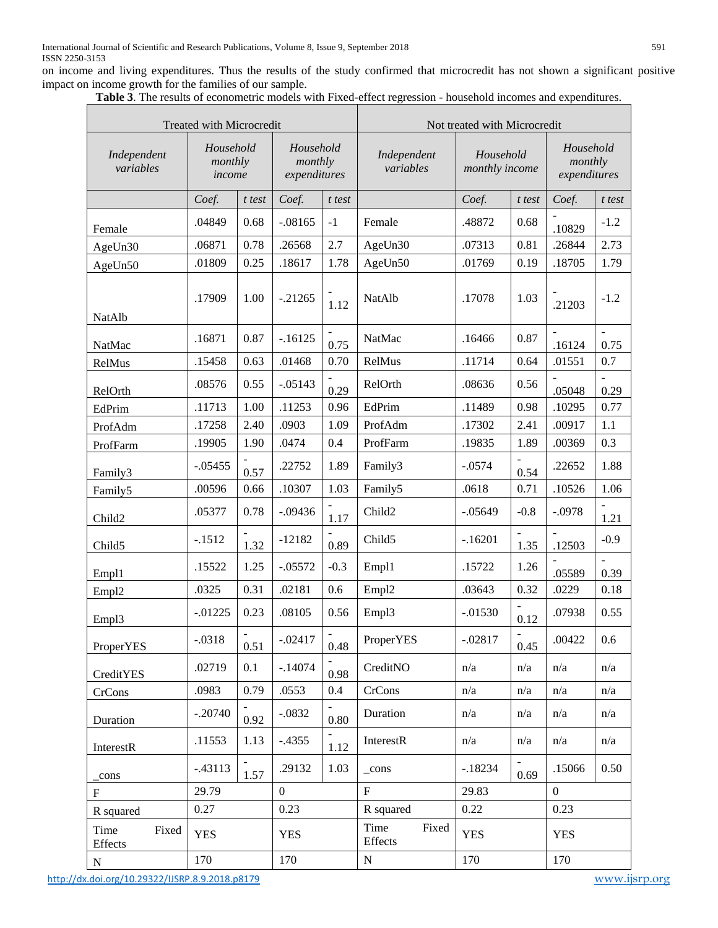on income and living expenditures. Thus the results of the study confirmed that microcredit has not shown a significant positive impact on income growth for the families of our sample.

|  | Table 3. The results of econometric models with Fixed-effect regression - household incomes and expenditures. |  |  |  |  |  |  |  |
|--|---------------------------------------------------------------------------------------------------------------|--|--|--|--|--|--|--|

| <b>radic 3.</b> The results of econometric models with I fact crieet regression - household meomes and expenditures.<br>Treated with Microcredit | Not treated with Microcredit   |        |                                      |        |                                                         |            |        |                                      |        |
|--------------------------------------------------------------------------------------------------------------------------------------------------|--------------------------------|--------|--------------------------------------|--------|---------------------------------------------------------|------------|--------|--------------------------------------|--------|
| Independent<br>variables                                                                                                                         | Household<br>monthly<br>income |        | Household<br>monthly<br>expenditures |        | Household<br>Independent<br>variables<br>monthly income |            |        | Household<br>monthly<br>expenditures |        |
|                                                                                                                                                  | Coef.                          | t test | Coef.                                | t test |                                                         | Coef.      | t test | Coef.                                | t test |
| Female                                                                                                                                           | .04849                         | 0.68   | $-.08165$                            | $-1$   | Female                                                  | .48872     | 0.68   | .10829                               | $-1.2$ |
| AgeUn30                                                                                                                                          | .06871                         | 0.78   | .26568                               | 2.7    | AgeUn30                                                 | .07313     | 0.81   | .26844                               | 2.73   |
| AgeUn50                                                                                                                                          | .01809                         | 0.25   | .18617                               | 1.78   | AgeUn50                                                 | .01769     | 0.19   | .18705                               | 1.79   |
| NatAlb                                                                                                                                           | .17909                         | 1.00   | $-21265$                             | 1.12   | <b>NatAlb</b>                                           | .17078     | 1.03   | .21203                               | $-1.2$ |
| NatMac                                                                                                                                           | .16871                         | 0.87   | $-16125$                             | 0.75   | NatMac                                                  | .16466     | 0.87   | .16124                               | 0.75   |
| RelMus                                                                                                                                           | .15458                         | 0.63   | .01468                               | 0.70   | RelMus                                                  | .11714     | 0.64   | .01551                               | 0.7    |
| RelOrth                                                                                                                                          | .08576                         | 0.55   | $-.05143$                            | 0.29   | RelOrth                                                 | .08636     | 0.56   | .05048                               | 0.29   |
| EdPrim                                                                                                                                           | .11713                         | 1.00   | .11253                               | 0.96   | EdPrim                                                  | .11489     | 0.98   | .10295                               | 0.77   |
| ProfAdm                                                                                                                                          | .17258                         | 2.40   | .0903                                | 1.09   | ProfAdm                                                 | .17302     | 2.41   | .00917                               | 1.1    |
| ProfFarm                                                                                                                                         | .19905                         | 1.90   | .0474                                | 0.4    | ProfFarm                                                | .19835     | 1.89   | .00369                               | 0.3    |
| Family3                                                                                                                                          | $-.05455$                      | 0.57   | .22752                               | 1.89   | Family3                                                 | $-.0574$   | 0.54   | .22652                               | 1.88   |
| Family <sub>5</sub>                                                                                                                              | .00596                         | 0.66   | .10307                               | 1.03   | Family <sub>5</sub>                                     | .0618      | 0.71   | .10526                               | 1.06   |
| Child <sub>2</sub>                                                                                                                               | .05377                         | 0.78   | $-.09436$                            | 1.17   | Child <sub>2</sub>                                      | $-.05649$  | $-0.8$ | $-.0978$                             | 1.21   |
| Child <sub>5</sub>                                                                                                                               | $-.1512$                       | 1.32   | $-12182$                             | 0.89   | Child <sub>5</sub>                                      | $-.16201$  | 1.35   | .12503                               | $-0.9$ |
| Emp11                                                                                                                                            | .15522                         | 1.25   | $-.05572$                            | $-0.3$ | Emp11                                                   | .15722     | 1.26   | .05589                               | 0.39   |
| Empl <sub>2</sub>                                                                                                                                | .0325                          | 0.31   | .02181                               | 0.6    | Empl <sub>2</sub>                                       | .03643     | 0.32   | .0229                                | 0.18   |
| Empl <sub>3</sub>                                                                                                                                | $-0.01225$                     | 0.23   | .08105                               | 0.56   | Empl3                                                   | $-0.01530$ | 0.12   | .07938                               | 0.55   |
| <b>ProperYES</b>                                                                                                                                 | $-.0318$                       | 0.51   | $-.02417$                            | 0.48   | <b>ProperYES</b>                                        | $-.02817$  | 0.45   | .00422                               | 0.6    |
| CreditYES                                                                                                                                        | .02719                         | 0.1    | $-14074$                             | 0.98   | CreditNO                                                | n/a        | n/a    | n/a                                  | n/a    |
| CrCons                                                                                                                                           | .0983                          | 0.79   | .0553                                | 0.4    | CrCons                                                  | n/a        | n/a    | n/a                                  | n/a    |
| Duration                                                                                                                                         | $-.20740$                      | 0.92   | $-.0832$                             | 0.80   | Duration                                                | n/a        | n/a    | n/a                                  | n/a    |
| InterestR                                                                                                                                        | .11553                         | 1.13   | $-0.4355$                            | 1.12   | InterestR                                               | n/a        | n/a    | n/a                                  | n/a    |
| cons                                                                                                                                             | $-.43113$                      | 1.57   | .29132                               | 1.03   | $_{\rm cons}$                                           | $-18234$   | 0.69   | .15066                               | 0.50   |
| $\mathbf{F}$                                                                                                                                     | 29.79                          |        | $\Omega$                             |        | $F_{\rm}$                                               | 29.83      |        | $\overline{0}$                       |        |
| R squared                                                                                                                                        | 0.27                           |        | 0.23                                 |        | R squared                                               | 0.22       |        | 0.23                                 |        |
| Time<br>Fixed<br>Effects                                                                                                                         | <b>YES</b>                     |        | <b>YES</b>                           |        | Time<br>Fixed<br>Effects                                | <b>YES</b> |        | <b>YES</b>                           |        |
| $N_{\odot}$                                                                                                                                      | 170                            |        | 170                                  |        | ${\bf N}$                                               | 170        |        | 170                                  |        |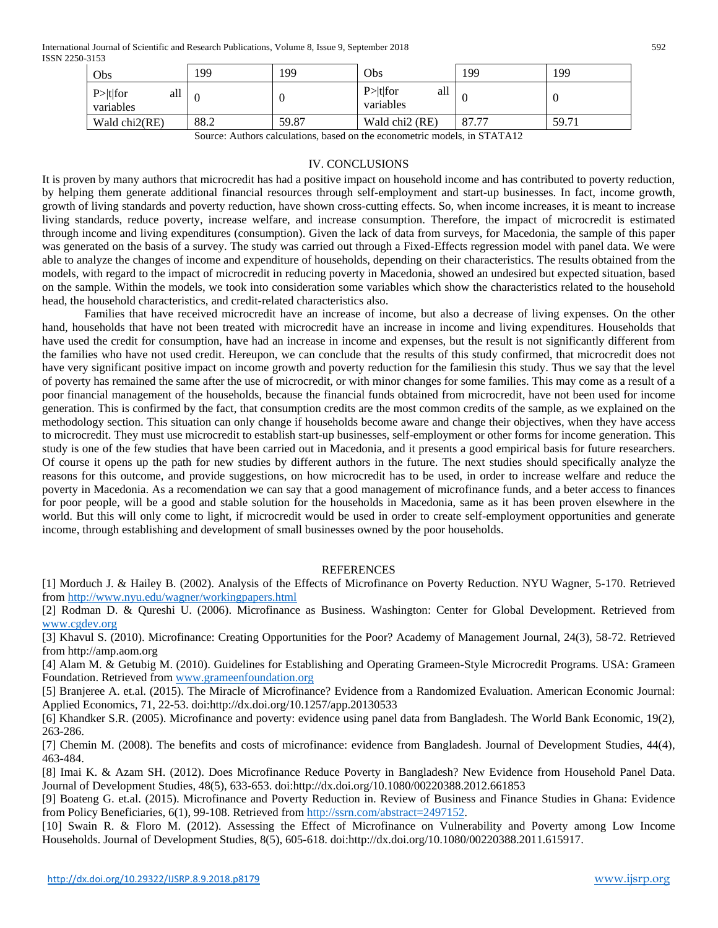International Journal of Scientific and Research Publications, Volume 8, Issue 9, September 2018 592 ISSN 2250-3153

| Obs                             | .99      | 199   | Obs                             | 199   | 199   |
|---------------------------------|----------|-------|---------------------------------|-------|-------|
| all<br>$P> t $ for<br>variables | $\Omega$ |       | $P> t $ for<br>all<br>variables |       |       |
| Wald chi2(RE)                   | 88.2     | 59.87 | Wald chi <sub>2</sub> (RE)      | 87.77 | 59.71 |

Source: Authors calculations, based on the econometric models, in STATA12

# IV. CONCLUSIONS

It is proven by many authors that microcredit has had a positive impact on household income and has contributed to poverty reduction, by helping them generate additional financial resources through self-employment and start-up businesses. In fact, income growth, growth of living standards and poverty reduction, have shown cross-cutting effects. So, when income increases, it is meant to increase living standards, reduce poverty, increase welfare, and increase consumption. Therefore, the impact of microcredit is estimated through income and living expenditures (consumption). Given the lack of data from surveys, for Macedonia, the sample of this paper was generated on the basis of a survey. The study was carried out through a Fixed-Effects regression model with panel data. We were able to analyze the changes of income and expenditure of households, depending on their characteristics. The results obtained from the models, with regard to the impact of microcredit in reducing poverty in Macedonia, showed an undesired but expected situation, based on the sample. Within the models, we took into consideration some variables which show the characteristics related to the household head, the household characteristics, and credit-related characteristics also.

Families that have received microcredit have an increase of income, but also a decrease of living expenses. On the other hand, households that have not been treated with microcredit have an increase in income and living expenditures. Households that have used the credit for consumption, have had an increase in income and expenses, but the result is not significantly different from the families who have not used credit. Hereupon, we can conclude that the results of this study confirmed, that microcredit does not have very significant positive impact on income growth and poverty reduction for the familiesin this study. Thus we say that the level of poverty has remained the same after the use of microcredit, or with minor changes for some families. This may come as a result of a poor financial management of the households, because the financial funds obtained from microcredit, have not been used for income generation. This is confirmed by the fact, that consumption credits are the most common credits of the sample, as we explained on the methodology section. This situation can only change if households become aware and change their objectives, when they have access to microcredit. They must use microcredit to establish start-up businesses, self-employment or other forms for income generation. This study is one of the few studies that have been carried out in Macedonia, and it presents a good empirical basis for future researchers. Of course it opens up the path for new studies by different authors in the future. The next studies should specifically analyze the reasons for this outcome, and provide suggestions, on how microcredit has to be used, in order to increase welfare and reduce the poverty in Macedonia. As a recomendation we can say that a good management of microfinance funds, and a beter access to finances for poor people, will be a good and stable solution for the households in Macedonia, same as it has been proven elsewhere in the world. But this will only come to light, if microcredit would be used in order to create self-employment opportunities and generate income, through establishing and development of small businesses owned by the poor households.

## **REFERENCES**

[1] Morduch J. & Hailey B. (2002). Analysis of the Effects of Microfinance on Poverty Reduction. NYU Wagner, 5-170. Retrieved from<http://www.nyu.edu/wagner/workingpapers.html>

[2] Rodman D. & Qureshi U. (2006). Microfinance as Business. Washington: Center for Global Development. Retrieved from [www.cgdev.org](http://www.cgdev.org/)

[3] Khavul S. (2010). Microfinance: Creating Opportunities for the Poor? Academy of Management Journal, 24(3), 58-72. Retrieved from http://amp.aom.org

[4] Alam M. & Getubig M. (2010). Guidelines for Establishing and Operating Grameen-Style Microcredit Programs. USA: Grameen Foundation. Retrieved from [www.grameenfoundation.org](http://www.grameenfoundation.org/)

[5] Branjeree A. et.al. (2015). The Miracle of Microfinance? Evidence from a Randomized Evaluation. American Economic Journal: Applied Economics, 71, 22-53. doi:http://dx.doi.org/10.1257/app.20130533

[6] Khandker S.R. (2005). Microfinance and poverty: evidence using panel data from Bangladesh. The World Bank Economic, 19(2), 263-286.

[7] Chemin M. (2008). The benefits and costs of microfinance: evidence from Bangladesh. Journal of Development Studies, 44(4), 463-484.

[8] Imai K. & Azam SH. (2012). Does Microfinance Reduce Poverty in Bangladesh? New Evidence from Household Panel Data. Journal of Development Studies, 48(5), 633-653. doi:http://dx.doi.org/10.1080/00220388.2012.661853

[9] Boateng G. et.al. (2015). Microfinance and Poverty Reduction in. Review of Business and Finance Studies in Ghana: Evidence from Policy Beneficiaries, 6(1), 99-108. Retrieved from [http://ssrn.com/abstract=2497152.](http://ssrn.com/abstract=2497152)

[10] Swain R. & Floro M. (2012). Assessing the Effect of Microfinance on Vulnerability and Poverty among Low Income Households. Journal of Development Studies, 8(5), 605-618. doi:http://dx.doi.org/10.1080/00220388.2011.615917.